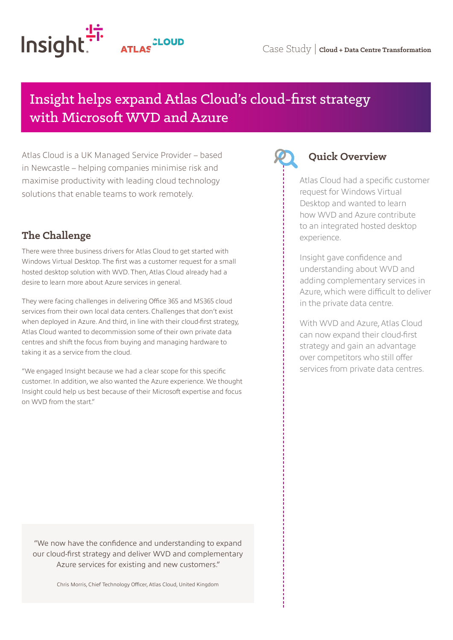

# Insight helps expand Atlas Cloud's cloud-first strategy with Microsoft WVD and Azure

Atlas Cloud is a UK Managed Service Provider – based in Newcastle – helping companies minimise risk and maximise productivity with leading cloud technology solutions that enable teams to work remotely.

## **The Challenge**

There were three business drivers for Atlas Cloud to get started with Windows Virtual Desktop. The first was a customer request for a small hosted desktop solution with WVD. Then, Atlas Cloud already had a desire to learn more about Azure services in general.

They were facing challenges in delivering Office 365 and MS365 cloud services from their own local data centers. Challenges that don't exist when deployed in Azure. And third, in line with their cloud-first strategy, Atlas Cloud wanted to decommission some of their own private data centres and shift the focus from buying and managing hardware to taking it as a service from the cloud.

"We engaged Insight because we had a clear scope for this specific customer. In addition, we also wanted the Azure experience. We thought Insight could help us best because of their Microsoft expertise and focus on WVD from the start."

#### **Quick Overview**

Atlas Cloud had a specific customer request for Windows Virtual Desktop and wanted to learn how WVD and Azure contribute to an integrated hosted desktop experience.

Insight gave confidence and understanding about WVD and adding complementary services in Azure, which were difficult to deliver in the private data centre.

With WVD and Azure, Atlas Cloud can now expand their cloud-first strategy and gain an advantage over competitors who still offer services from private data centres.

"We now have the confidence and understanding to expand our cloud-first strategy and deliver WVD and complementary Azure services for existing and new customers."

Chris Morris, Chief Technology Officer, Atlas Cloud, United Kingdom